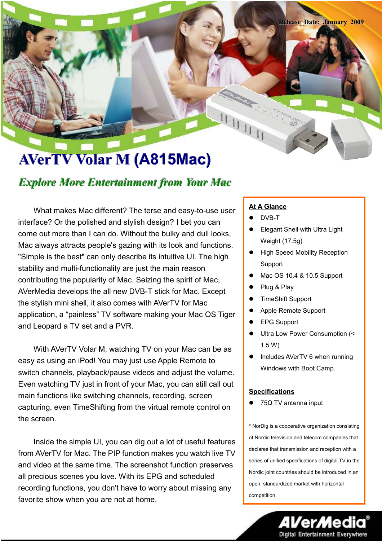# AVerTV Volar M (A815Mac)

### Explore More Entertainment from Your Mac

What makes Mac different? The terse and easy-to-use user interface? Or the polished and stylish design? I bet you can come out more than I can do. Without the bulky and dull looks, Mac always attracts people's gazing with its look and functions. "Simple is the best" can only describe its intuitive UI. The high stability and multi-functionality are just the main reason contributing the popularity of Mac. Seizing the spirit of Mac, AVerMedia develops the all new DVB-T stick for Mac. Except the stylish mini shell, it also comes with AVerTV for Mac application, a "painless" TV software making your Mac OS Tiger and Leopard a TV set and a PVR.

With AVerTV Volar M, watching TV on your Mac can be as easy as using an iPod! You may just use Apple Remote to switch channels, playback/pause videos and adjust the volume. Even watching TV just in front of your Mac, you can still call out main functions like switching channels, recording, screen capturing, even TimeShifting from the virtual remote control on the screen.

Inside the simple UI, you can dig out a lot of useful features from AVerTV for Mac. The PIP function makes you watch live TV and video at the same time. The screenshot function preserves all precious scenes you love. With its EPG and scheduled recording functions, you don't have to worry about missing any favorite show when you are not at home.

#### **At A Glance**

- DVB-T
- Elegant Shell with Ultra Light Weight (17.5g)

Release Date: January 2009

- **•** High Speed Mobility Reception Support
- Mac OS 10.4 & 10.5 Support
- Plug & Play
- TimeShift Support
- Apple Remote Support
- EPG Support
- Ultra Low Power Consumption (< 1.5 W)
- Includes AVerTV 6 when running Windows with Boot Camp.

#### **Specifications**

75Ω TV antenna input

\* NorDig is a cooperative organization consisting of Nordic television and telecom companies that declares that transmission and reception with a series of unified specifications of digital TV in the Nordic joint countries should be introduced in an open, standardized market with horizontal competition.

**Digital Entertainment Everywhere**